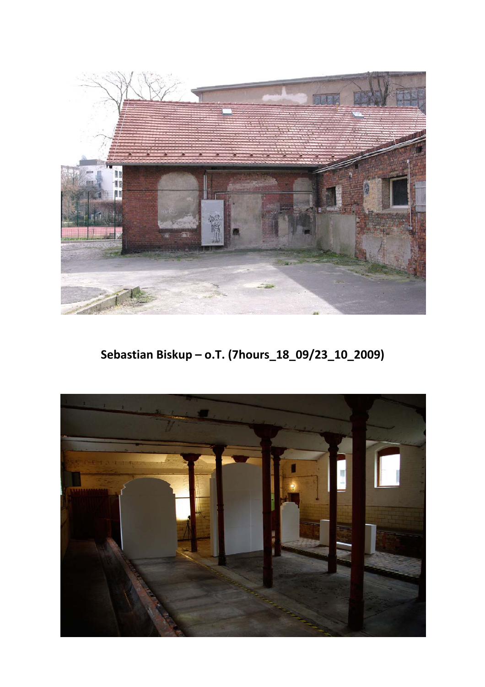

**Sebastian Biskup – o.T. (7hours\_18\_09/23\_10\_2009)**

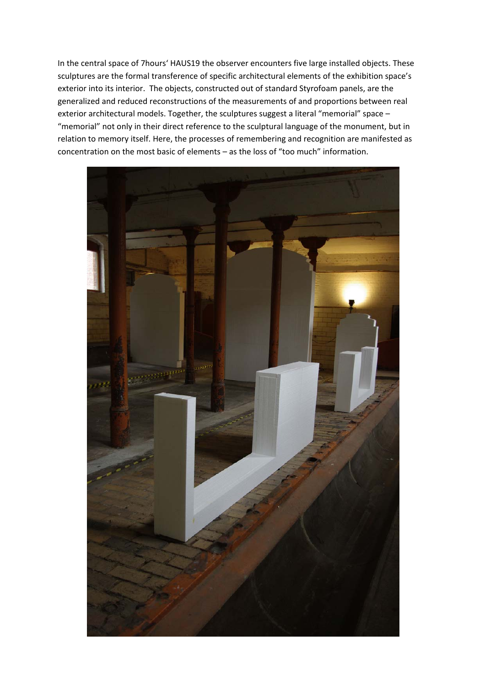In the central space of 7hours' HAUS19 the observer encounters five large installed objects. These sculptures are the formal transference of specific architectural elements of the exhibition space's exterior into its interior. The objects, constructed out of standard Styrofoam panels, are the generalized and reduced reconstructions of the measurements of and proportions between real exterior architectural models. Together, the sculptures suggest a literal "memorial" space -"memorial" not only in their direct reference to the sculptural language of the monument, but in relation to memory itself. Here, the processes of remembering and recognition are manifested as concentration on the most basic of elements – as the loss of "too much" information.

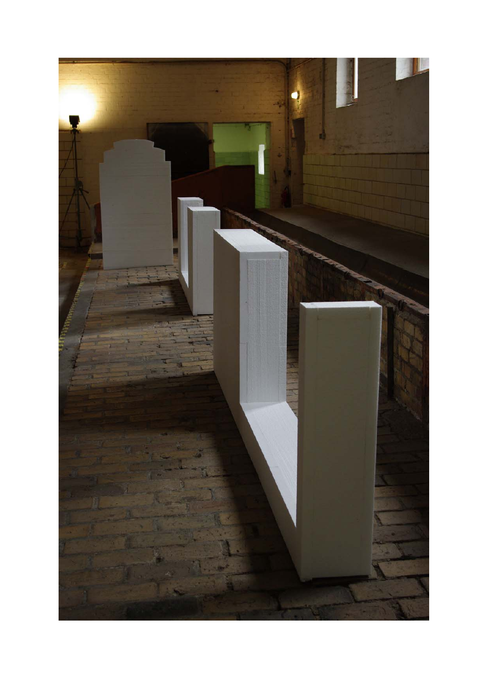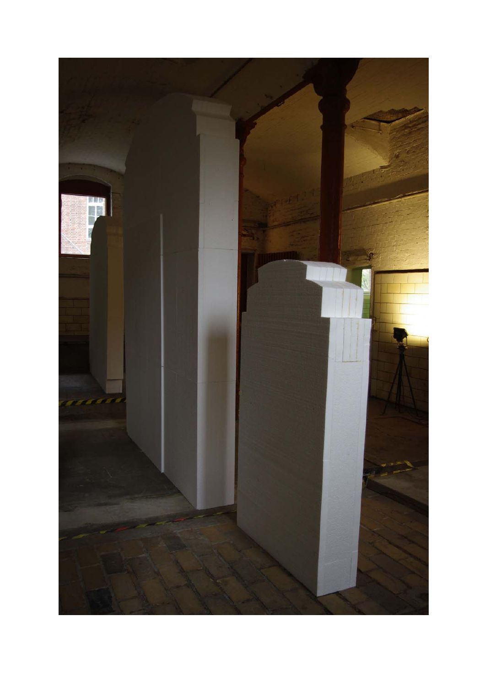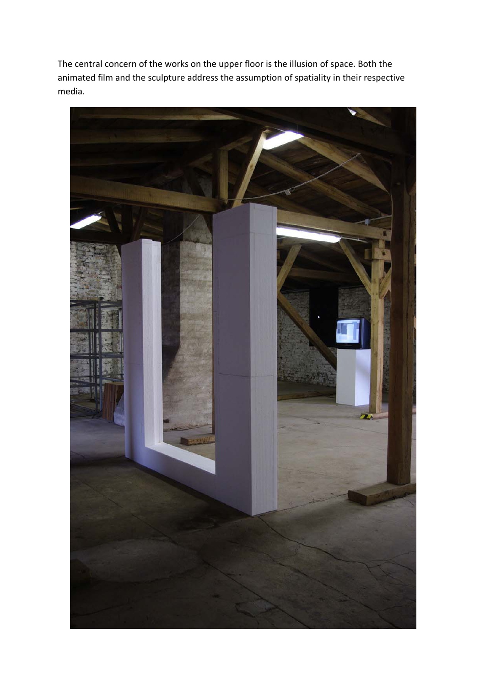The central concern of the works on the upper floor is the illusion of space. Both the animated film and the sculpture address the assumption of spatiality in their respective media.

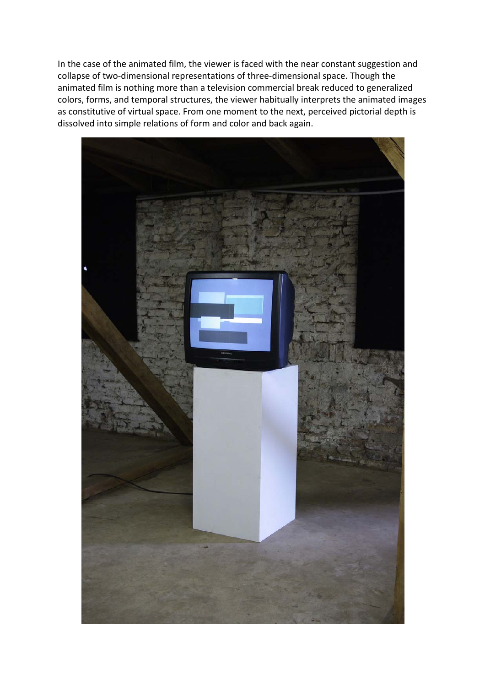In the case of the animated film, the viewer is faced with the near constant suggestion and collapse of two‐dimensional representations of three‐dimensional space. Though the animated film is nothing more than a television commercial break reduced to generalized colors, forms, and temporal structures, the viewer habitually interprets the animated images as constitutive of virtual space. From one moment to the next, perceived pictorial depth is dissolved into simple relations of form and color and back again.

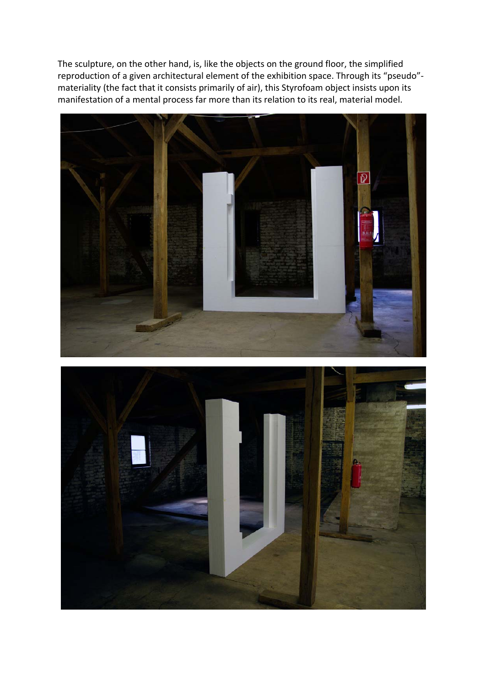The sculpture, on the other hand, is, like the objects on the ground floor, the simplified reproduction of a given architectural element of the exhibition space. Through its "pseudo"‐ materiality (the fact that it consists primarily of air), this Styrofoam object insists upon its manifestation of a mental process far more than its relation to its real, material model.



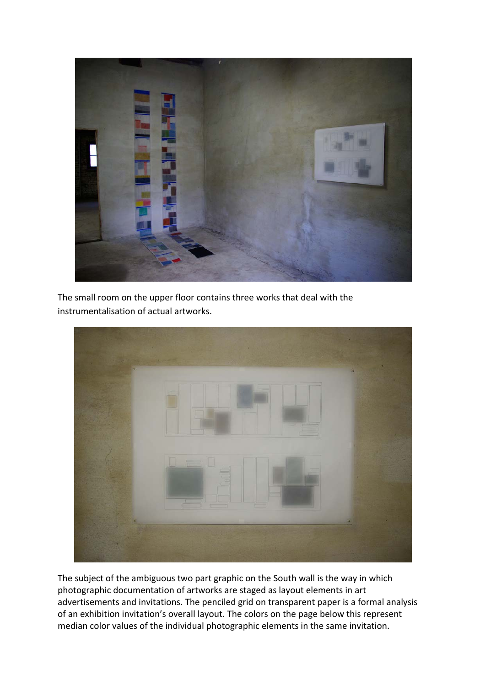

The small room on the upper floor contains three works that deal with the instrumentalisation of actual artworks.



The subject of the ambiguous two part graphic on the South wall is the way in which photographic documentation of artworks are staged as layout elements in art advertisements and invitations. The penciled grid on transparent paper is a formal analysis of an exhibition invitation's overall layout. The colors on the page below this represent median color values of the individual photographic elements in the same invitation.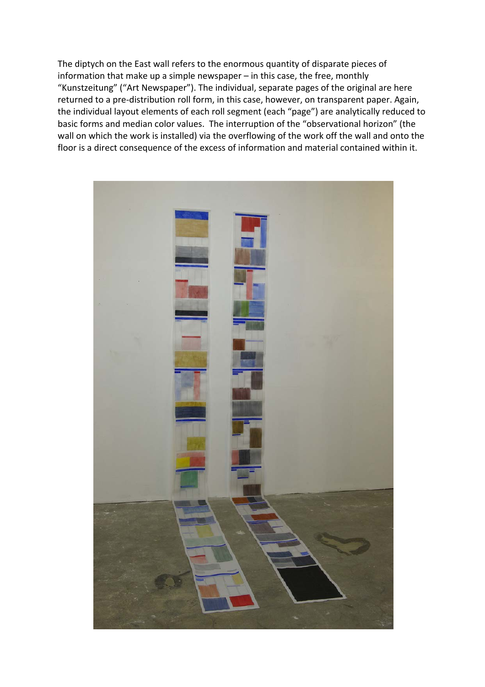The diptych on the East wall refers to the enormous quantity of disparate pieces of information that make up a simple newspaper – in this case, the free, monthly "Kunstzeitung" ("Art Newspaper"). The individual, separate pages of the original are here returned to a pre-distribution roll form, in this case, however, on transparent paper. Again, the individual layout elements of each roll segment (each "page") are analytically reduced to basic forms and median color values. The interruption of the "observational horizon" (the wall on which the work is installed) via the overflowing of the work off the wall and onto the floor is a direct consequence of the excess of information and material contained within it.